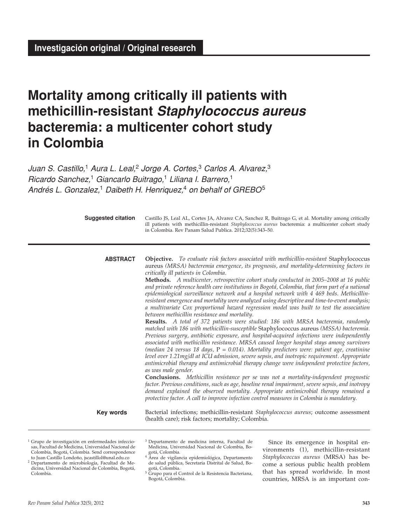# **Mortality among critically ill patients with methicillin-resistant** *Staphylococcus aureus* **bacteremia: a multicenter cohort study in Colombia**

*Juan S. Castillo,*1 *Aura L. Leal,*2 *Jorge A. Cortes,*<sup>3</sup> *Carlos A. Alvarez,*<sup>3</sup> *Ricardo Sanchez,*1 *Giancarlo Buitrago,*<sup>1</sup> *Liliana I. Barrero,*<sup>1</sup> *Andrés L. Gonzalez,*<sup>1</sup> *Daibeth H. Henriquez,*<sup>4</sup> *on behalf of GREBO*<sup>5</sup>

| <b>Suggested citation</b> | Castillo JS, Leal AL, Cortes JA, Alvarez CA, Sanchez R, Buitrago G, et al. Mortality among critically<br>ill patients with methicillin-resistant Staphylococcus aureus bacteremia: a multicenter cohort study<br>in Colombia. Rev Panam Salud Publica. 2012;32(5):343-50.                                                                                                                                                                                                                                                                                                                                                                                                                                                                                                                                                                                                                                                                                                                                                                                                                                                                                                                                                                                                                                                                                                                                                                                                                                                                                                                                                                                                                                                                                                                                                                                                     |
|---------------------------|-------------------------------------------------------------------------------------------------------------------------------------------------------------------------------------------------------------------------------------------------------------------------------------------------------------------------------------------------------------------------------------------------------------------------------------------------------------------------------------------------------------------------------------------------------------------------------------------------------------------------------------------------------------------------------------------------------------------------------------------------------------------------------------------------------------------------------------------------------------------------------------------------------------------------------------------------------------------------------------------------------------------------------------------------------------------------------------------------------------------------------------------------------------------------------------------------------------------------------------------------------------------------------------------------------------------------------------------------------------------------------------------------------------------------------------------------------------------------------------------------------------------------------------------------------------------------------------------------------------------------------------------------------------------------------------------------------------------------------------------------------------------------------------------------------------------------------------------------------------------------------|
| <b>ABSTRACT</b>           | <b>Objective.</b> To evaluate risk factors associated with methicillin-resistant Staphylococcus<br>aureus (MRSA) bacteremia emergence, its prognosis, and mortality-determining factors in<br>critically ill patients in Colombia.<br><b>Methods.</b> A multicenter, retrospective cohort study conducted in 2005–2008 at 16 public<br>and private reference health care institutions in Bogotá, Colombia, that form part of a national<br>epidemiological surveillance network and a hospital network with 4 469 beds. Methicillin-<br>resistant emergence and mortality were analyzed using descriptive and time-to-event analysis;<br>a multivariate Cox proportional hazard regression model was built to test the association<br>between methicillin resistance and mortality.<br>Results. A total of 372 patients were studied: 186 with MRSA bacteremia, randomly<br>matched with 186 with methicillin-susceptible Staphylococcus aureus (MSSA) bacteremia.<br>Previous surgery, antibiotic exposure, and hospital-acquired infections were independently<br>associated with methicillin resistance. MRSA caused longer hospital stays among survivors<br>(median 24 versus 18 days, $P = 0.014$ ). Mortality predictors were: patient age, creatinine<br>level over 1.21mg/dl at ICU admission, severe sepsis, and inotropic requirement. Appropriate<br>antimicrobial therapy and antimicrobial therapy change were independent protective factors,<br>as was male gender.<br><b>Conclusions.</b> Methicillin resistance per se was not a mortality-independent prognostic<br>factor. Previous conditions, such as age, baseline renal impairment, severe sepsis, and inotropy<br>demand explained the observed mortality. Appropriate antimicrobial therapy remained a<br>protective factor. A call to improve infection control measures in Colombia is mandatory. |
| <b>Key words</b>          | Bacterial infections; methicillin-resistant Staphylococcus aureus; outcome assessment<br>(health care); risk factors; mortality; Colombia.                                                                                                                                                                                                                                                                                                                                                                                                                                                                                                                                                                                                                                                                                                                                                                                                                                                                                                                                                                                                                                                                                                                                                                                                                                                                                                                                                                                                                                                                                                                                                                                                                                                                                                                                    |

<sup>1</sup> Grupo de investigación en enfermedades infecciosas, Facultad de Medicina, Universidad Nacional de Colombia, Bogotá, Colombia. Send correspondence to Juan Castillo Londoño, jscastillol@unal.edu.co

<sup>2</sup> Departamento de microbiología, Facultad de Medicina, Universidad Nacional de Colombia, Bogotá, Colombia.

<sup>3</sup> Departamento de medicina interna, Facultad de Medicina, Universidad Nacional de Colombia, Bogotá, Colombia.

Since its emergence in hospital environments (1), methicillin-resistant *Staphylococcus aureus* (MRSA) has become a serious public health problem that has spread worldwide. In most countries, MRSA is an important con-

<sup>4</sup> Área de vigilancia epidemiológica, Departamento de salud pública, Secretaria Distrital de Salud, Bogotá, Colombia.

<sup>5</sup> Grupo para el Control de la Resistencia Bacteriana, Bogotá, Colombia.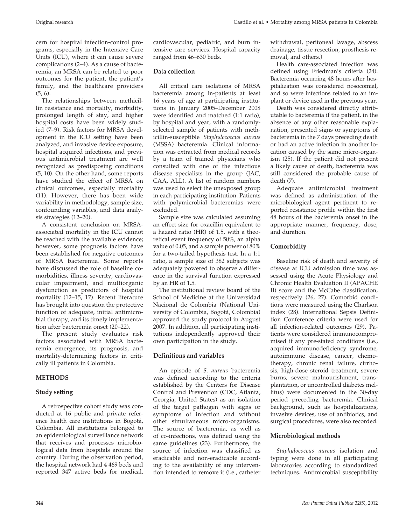cern for hospital infection-control programs, especially in the Intensive Care Units (ICU), where it can cause severe complications (2–4). As a cause of bacteremia, an MRSA can be related to poor outcomes for the patient, the patient's family, and the healthcare providers (5, 6).

The relationships between methicillin resistance and mortality, morbidity, prolonged length of stay, and higher hospital costs have been widely studied (7–9). Risk factors for MRSA development in the ICU setting have been analyzed, and invasive device exposure, hospital acquired infections, and previous antimicrobial treatment are well recognized as predisposing conditions (5, 10). On the other hand, some reports have studied the effect of MRSA on clinical outcomes, especially mortality (11). However, there has been wide variability in methodology, sample size, confounding variables, and data analysis strategies (12–20).

A consistent conclusion on MRSAassociated mortality in the ICU cannot be reached with the available evidence; however, some prognosis factors have been established for negative outcomes of MRSA bacteremia. Some reports have discussed the role of baseline comorbidities, illness severity, cardiovascular impairment, and multiorganic dysfunction as predictors of hospital mortality (12–15, 17). Recent literature has brought into question the protective function of adequate, initial antimicrobial therapy, and its timely implementation after bacteremia onset (20–22).

The present study evaluates risk factors associated with MRSA bacteremia emergence, its prognosis, and mortality-determining factors in critically ill patients in Colombia.

# **METHODS**

# **Study setting**

A retrospective cohort study was conducted at 16 public and private reference health care institutions in Bogotá, Colombia. All institutions belonged to an epidemiological surveillance network that receives and processes microbiological data from hospitals around the country. During the observation period, the hospital network had 4 469 beds and reported 347 active beds for medical,

cardiovascular, pediatric, and burn intensive care services. Hospital capacity ranged from 46–630 beds.

# **Data collection**

All critical care isolations of MRSA bacteremia among in-patients at least 16 years of age at participating institutions in January 2005–December 2008 were identified and matched (1:1 ratio), by hospital and year, with a randomlyselected sample of patients with methicillin-susceptible *Staphylococcus aureus* (MSSA) bacteremia. Clinical information was extracted from medical records by a team of trained physicians who consulted with one of the infectious disease specialists in the group (JAC, CAA, ALL). A list of random numbers was used to select the unexposed group in each participating institution. Patients with polymicrobial bacteremias were excluded.

Sample size was calculated assuming an effect size for oxacillin equivalent to a hazard ratio (HR) of 1.5, with a theoretical event frequency of 50%, an alpha value of 0.05, and a sample power of 80% for a two-tailed hypothesis test. In a 1:1 ratio, a sample size of 382 subjects was adequately powered to observe a difference in the survival function expressed by an HR of 1.5.

The institutional review board of the School of Medicine at the Universidad Nacional de Colombia (National University of Colombia, Bogotá, Colombia) approved the study protocol in August 2007. In addition, all participating institutions independently approved their own participation in the study.

# **Definitions and variables**

An episode of *S. aureus* bacteremia was defined according to the criteria established by the Centers for Disease Control and Prevention (CDC, Atlanta, Georgia, United States) as an isolation of the target pathogen with signs or symptoms of infection and without other simultaneous micro-organisms. The source of bacteremia, as well as of co-infections, was defined using the same guidelines (23). Furthermore, the source of infection was classified as eradicable and non-eradicable according to the availability of any intervention intended to remove it (i.e., catheter

withdrawal, peritoneal lavage, abscess drainage, tissue resection, prosthesis removal, and others.)

Health care-associated infection was defined using Friedman's criteria (24). Bacteremia occurring 48 hours after hospitalization was considered nosocomial, and so were infections related to an implant or device used in the previous year.

Death was considered directly attributable to bacteremia if the patient, in the absence of any other reasonable explanation, presented signs or symptoms of bacteremia in the 7 days preceding death or had an active infection in another location caused by the same micro-organism (25). If the patient did not present a likely cause of death, bacteremia was still considered the probable cause of death (7).

Adequate antimicrobial treatment was defined as administration of the microbiological agent pertinent to reported resistance profile within the first 48 hours of the bacteremia onset in the appropriate manner, frequency, dose, and duration.

# **Comorbidity**

Baseline risk of death and severity of disease at ICU admission time was assessed using the Acute Physiology and Chronic Health Evaluation II (APACHE II) score and the McCabe classification, respectively (26, 27). Comorbid conditions were measured using the Charlson index (28). International Sepsis Definition Conference criteria were used for all infection-related outcomes (29). Patients were considered immunocompromised if any pre-stated conditions (i.e., acquired immunodeficiency syndrome, autoimmune disease, cancer, chemotherapy, chronic renal failure, cirrhosis, high-dose steroid treatment, severe burns, severe malnourishment, transplantation, or uncontrolled diabetes mellitus) were documented in the 30-day period preceding bacteremia. Clinical background, such as hospitalizations, invasive devices, use of antibiotics, and surgical procedures, were also recorded.

# **Microbiological methods**

*Staphylococcus aureus* isolation and typing were done in all participating laboratories according to standardized techniques. Antimicrobial susceptibility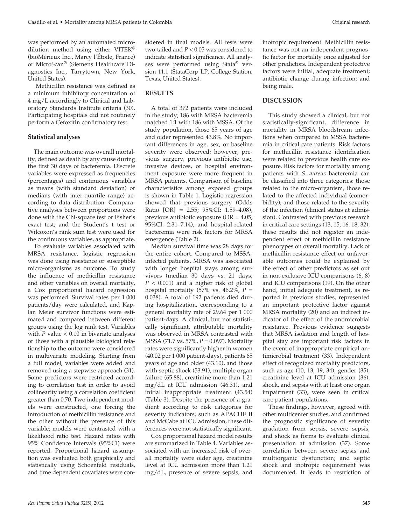was performed by an automated microdilution method using either VITEK® (bioMérieux Inc., Marcy l'Étoile, France) or MicroScan® (Siemens Healthcare Diagnostics Inc., Tarrytown, New York, United States).

 Methicillin resistance was defined as a minimum inhibitory concentration of 4 mg/L accordingly to Clinical and Laboratory Standards Institute criteria (30). Participating hospitals did not routinely perform a Cefoxitin confirmatory test.

## **Statistical analyses**

The main outcome was overall mortality, defined as death by any cause during the first 30 days of bacteremia. Discrete variables were expressed as frequencies (percentages) and continuous variables as means (with standard deviation) or medians (with inter-quartile range) according to data distribution. Comparative analyses between proportions were done with the Chi-square test or Fisher's exact test; and the Student's t test or Wilcoxon's rank sum test were used for the continuous variables, as appropriate.

To evaluate variables associated with MRSA resistance, logistic regression was done using resistance or susceptible micro-organisms as outcome. To study the influence of methicillin resistance and other variables on overall mortality, a Cox proportional hazard regression was performed. Survival rates per 1 000 patients/day were calculated, and Kaplan Meier survivor functions were estimated and compared between different groups using the log rank test. Variables with  $P$  value  $< 0.10$  in bivariate analyses or those with a plausible biological relationship to the outcome were considered in multivariate modeling. Starting from a full model, variables were added and removed using a stepwise approach (31). Some predictors were restricted according to correlation test in order to avoid collinearity using a correlation coefficient greater than 0.70. Two independent models were constructed, one forcing the introduction of methicillin resistance and the other without the presence of this variable; models were contrasted with a likelihood ratio test. Hazard ratios with 95% Confidence Intervals (95%CI) were reported. Proportional hazard assumption was evaluated both graphically and statistically using Schoenfeld residuals, and time dependent covariates were considered in final models. All tests were two-tailed and *P* < 0.05 was considered to indicate statistical significance. All analyses were performed using Stata® version 11.1 (StataCorp LP, College Station, Texas, United States).

## **RESULTS**

A total of 372 patients were included in the study; 186 with MRSA bacteremia matched 1:1 with 186 with MSSA. Of the study population, those 65 years of age and older represented 43.8%. No important differences in age, sex, or baseline severity were observed; however, previous surgery, previous antibiotic use, invasive devices, or hospital environment exposure were more frequent in MRSA patients. Comparison of baseline characteristics among exposed groups is shown in Table 1. Logistic regression showed that previous surgery (Odds Ratio [OR] = 2.55; 95%CI: 1.59–4.08), previous antibiotic exposure (OR = 4.05; 95%CI: 2.31–7.14), and hospital-related bacteremia were risk factors for MRSA emergence (Table 2).

Median survival time was 28 days for the entire cohort. Compared to MSSAinfected patients, MRSA was associated with longer hospital stays among survivors (median 30 days vs. 21 days, *P* < 0.001) and a higher risk of global hospital mortality (57% vs. 46.2%, *P* = 0.038). A total of 192 patients died during hospitalization, corresponding to a general mortality rate of 29.64 per 1 000 patient-days. A clinical, but not statistically significant, attributable mortality was observed in MRSA contrasted with MSSA (71.7 vs. 57%, *P* = 0.097). Mortality rates were significantly higher in women (40.02 per 1 000 patient-days), patients 65 years of age and older (43.10), and those with septic shock (53.91), multiple organ failure (65.88), creatinine more than 1.21 mg/dL at ICU admission (46.31), and initial inappropriate treatment (43.54) (Table 3). Despite the presence of a gradient according to risk categories for severity indicators, such as APACHE II and McCabe at ICU admission, these differences were not statistically significant.

Cox proportional hazard model results are summarized in Table 4. Variables associated with an increased risk of overall mortality were older age, creatinine level at ICU admission more than 1.21 mg/dL, presence of severe sepsis, and

inotropic requirement. Methicillin resistance was not an independent prognostic factor for mortality once adjusted for other predictors. Independent protective factors were initial, adequate treatment; antibiotic change during infection; and being male.

## **DISCUSSION**

This study showed a clinical, but not statistically-significant, difference in mortality in MRSA bloodstream infections when compared to MSSA bacteremia in critical care patients. Risk factors for methicillin resistance identification were related to previous health care exposure. Risk factors for mortality among patients with *S. aureus* bacteremia can be classified into three categories: those related to the micro-organism, those related to the affected individual (comorbidity), and those related to the severity of the infection (clinical status at admission). Contrasted with previous research in critical care settings (13, 15, 16, 18, 32), these results did not register an independent effect of methicillin resistance phenotypes on overall mortality. Lack of methicillin resistance effect on unfavorable outcomes could be explained by the effect of other predictors as set out in non-exclusive ICU comparisons (6, 8) and ICU comparisons (19). On the other hand, initial adequate treatment, as reported in previous studies, represented an important protective factor against MRSA mortality (20) and an indirect indicator of the effect of the antimicrobial resistance. Previous evidence suggests that MRSA isolation and length of hospital stay are important risk factors in the event of inappropriate empirical antimicrobial treatment (33). Independent effect of recognized mortality predictors, such as age (10, 13, 19, 34), gender (35), creatinine level at ICU admission (36), shock, and sepsis with at least one organ impairment (33), were seen in critical care patient populations.

These findings, however, agreed with other multicenter studies, and confirmed the prognostic significance of severity gradation from sepsis, severe sepsis, and shock as forms to evaluate clinical presentation at admission (37). Some correlation between severe sepsis and multiorganic dysfunction; and septic shock and inotropic requirement was documented. It leads to restriction of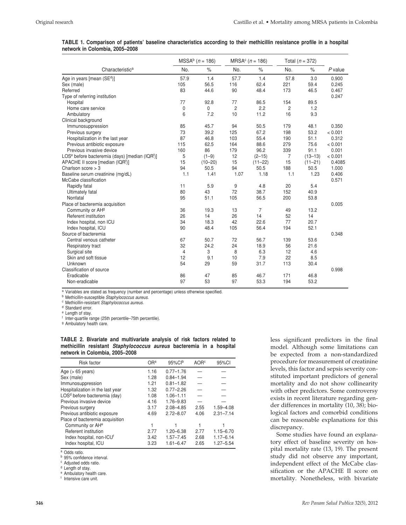|                                                                        |      | $MSSAb$ (n = 186) |      | $MRSAc$ (n = 186) |      | Total $(n = 372)$ |           |
|------------------------------------------------------------------------|------|-------------------|------|-------------------|------|-------------------|-----------|
| Characteristica                                                        | No.  | $\%$              | No.  | $\%$              | No.  | $\%$              | $P$ value |
| Age in years [mean (SE <sup>d</sup> )]                                 | 57.9 | 1.4               | 57.7 | 1.4               | 57.8 | 3.0               | 0.900     |
| Sex (male)                                                             | 105  | 56.5              | 116  | 62.4              | 221  | 59.4              | 0.245     |
| Referred                                                               | 83   | 44.6              | 90   | 48.4              | 173  | 46.5              | 0.467     |
| Type of referring institution                                          |      |                   |      |                   |      |                   | 0.247     |
| Hospital                                                               | 77   | 92.8              | 77   | 86.5              | 154  | 89.5              |           |
| Home care service                                                      | 0    | $\mathbf 0$       | 2    | 2.2               | 2    | 1.2               |           |
| Ambulatory                                                             | 6    | 7.2               | 10   | 11.2              | 16   | 9.3               |           |
| Clinical background                                                    |      |                   |      |                   |      |                   |           |
| Immunosuppression                                                      | 85   | 45.7              | 94   | 50.5              | 179  | 48.1              | 0.350     |
| Previous surgery                                                       | 73   | 39.2              | 125  | 67.2              | 198  | 53.2              | < 0.001   |
| Hospitalization in the last year                                       | 87   | 46.8              | 103  | 55.4              | 190  | 51.1              | 0.312     |
| Previous antibiotic exposure                                           | 115  | 62.5              | 164  | 88.6              | 279  | 75.6              | < 0.001   |
| Previous invasive device                                               | 160  | 86                | 179  | 96.2              | 339  | 91.1              | 0.001     |
| LOS <sup>e</sup> before bacteremia (days) [median (IQR <sup>f</sup> )] | 5    | $(1-9)$           | 12   | $(2 - 15)$        | 7    | $(13 - 13)$       | < 0.001   |
| APACHE II score [median (IQR <sup>f</sup> )]                           | 15   | $(10 - 20)$       | 15   | $(11 - 22)$       | 15   | $(11 - 21)$       | 0.4085    |
| Charlson score $>$ 3                                                   | 94   | 50.5              | 94   | 50.5              | 188  | 50.5              | 1.000     |
| Baseline serum creatinine (mg/dL)                                      | 1.1  | 1.41              | 1.07 | 1.18              | 1.1  | 1.23              | 0.406     |
| McCabe classification                                                  |      |                   |      |                   |      |                   | 0.571     |
| Rapidly fatal                                                          | 11   | 5.9               | 9    | 4.8               | 20   | 5.4               |           |
| <b>Ultimately fatal</b>                                                | 80   | 43                | 72   | 38.7              | 152  | 40.9              |           |
| Nonfatal                                                               | 95   | 51.1              | 105  | 56.5              | 200  | 53.8              |           |
| Place of bacteremia acquisition                                        |      |                   |      |                   |      |                   | 0.005     |
| Community or AH <sup>9</sup>                                           | 36   | 19.3              | 13   | $\overline{7}$    | 49   | 13.2              |           |
| Referent institution                                                   | 26   | 14                | 26   | 14                | 52   | 14                |           |
| Index hospital, non ICU                                                | 34   | 18.3              | 42   | 22.6              | 77   | 20.7              |           |
| Index hospital, ICU                                                    | 90   | 48.4              | 105  | 56.4              | 194  | 52.1              |           |
| Source of bacteremia                                                   |      |                   |      |                   |      |                   | 0.348     |
| Central venous catheter                                                | 67   | 50.7              | 72   | 56.7              | 139  | 53.6              |           |
| Respiratory tract                                                      | 32   | 24.2              | 24   | 18.9              | 56   | 21.6              |           |
| Surgical site                                                          | 4    | 3                 | 8    | 6.3               | 12   | 4.6               |           |
| Skin and soft tissue                                                   | 12   | 9.1               | 10   | 7.9               | 22   | 8.5               |           |
| Unknown                                                                | 54   | 29                | 59   | 31.7              | 113  | 30.4              |           |
| Classification of source                                               |      |                   |      |                   |      |                   | 0.998     |
| Eradicable                                                             | 86   | 47                | 85   | 46.7              | 171  | 46.8              |           |
| Non-eradicable                                                         | 97   | 53                | 97   | 53.3              | 194  | 53.2              |           |

| TABLE 1. Comparison of patients' baseline characteristics according to their methicillin resistance profile in a hospital |  |  |  |  |  |
|---------------------------------------------------------------------------------------------------------------------------|--|--|--|--|--|
| network in Colombia, 2005-2008                                                                                            |  |  |  |  |  |

a Variables are stated as frequency (number and percentage) unless otherwise specified.<br>
b Methicillin-susceptible *Staphylococcus aureus*.<br>
c Methicillin-resistant *Staphylococcus aureus*.<br>
d Standard error.<br>
e Length of

<sup>9</sup> Ambulatory health care.

|                                |  | TABLE 2. Bivariate and multivariate analysis of risk factors related to     |  |  |  |  |
|--------------------------------|--|-----------------------------------------------------------------------------|--|--|--|--|
|                                |  | methicillin resistant <i>Staphylococcus aureus</i> bacteremia in a hospital |  |  |  |  |
| network in Colombia, 2005–2008 |  |                                                                             |  |  |  |  |

| <b>Risk factor</b>                       | ORa  | 95%Clb        | AOR <sup>c</sup> | 95%CI         |
|------------------------------------------|------|---------------|------------------|---------------|
| Age $(>65$ years)                        | 1.16 | $0.77 - 1.76$ |                  |               |
| Sex (male)                               | 1.28 | $0.84 - 1.94$ |                  |               |
| Immunosuppression                        | 1.21 | $0.81 - 1.82$ |                  |               |
| Hospitalization in the last year         | 1.32 | $0.77 - 2.26$ |                  |               |
| LOS <sup>d</sup> before bacteremia (day) | 1.08 | $1.06 - 1.11$ |                  |               |
| Previous invasive device                 | 4.16 | 1.76-9.83     |                  |               |
| Previous surgery                         | 3.17 | $2.08 - 4.85$ | 2.55             | 1.59-4.08     |
| Previous antibiotic exposure             | 4.69 | $2.72 - 8.07$ | 4.06             | $2.31 - 7.14$ |
| Place of bacteremia acquisition          |      |               |                  |               |
| Community or AH <sup>e</sup>             |      |               |                  |               |
| Referent institution                     | 2.77 | $1.20 - 6.38$ | 2.77             | $1.15 - 6.70$ |
| Index hospital, non-ICUf                 | 3.42 | $1.57 - 7.45$ | 2.68             | $1.17 - 6.14$ |
| Index hospital, ICU                      | 3.23 | $1.61 - 6.47$ | 2.65             | $1.27 - 5.54$ |

a Odds ratio.<br>  $\frac{b}{\sqrt{2}}$  95% confidence interval.<br>  $\frac{c}{\sqrt{2}}$  Adjusted odds ratio.<br>  $\frac{d}{\sqrt{2}}$  Ambulatory health care.

<sup>f</sup> Intensive care unit.

less significant predictors in the final model. Although some limitations can be expected from a non-standardized procedure for measurement of creatinine levels, this factor and sepsis severity constituted important predictors of general mortality and do not show collinearity with other predictors. Some controversy exists in recent literature regarding gender differences in mortality (10, 38); biological factors and comorbid conditions can be reasonable explanations for this discrepancy.

Some studies have found an explanatory effect of baseline severity on hospital mortality rate (13, 19). The present study did not observe any important, independent effect of the McCabe classification or the APACHE II score on mortality. Nonetheless, with bivariate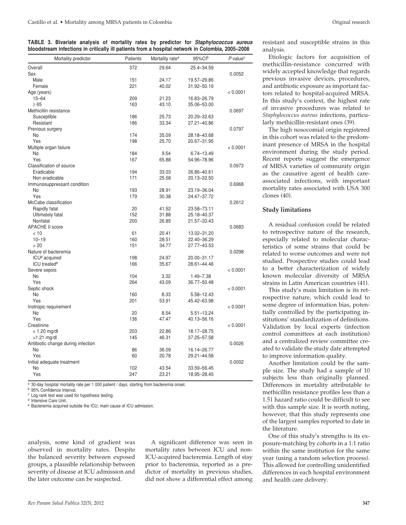**TABLE 3. Bivariate analysis of mortality rates by predictor for** *Staphylococcus aureus* **bloodstream infections in critically ill patients from a hospital network in Colombia, 2005–2008**

| Mortality predictor                | Patients | Mortality rate <sup>a</sup> | 95%Clb        | $P$ value <sup>c</sup> |
|------------------------------------|----------|-----------------------------|---------------|------------------------|
| Overall                            | 372      | 29.64                       | 25.4-34.59    |                        |
| Sex                                |          |                             |               | 0.0052                 |
| Male                               | 151      | 24.17                       | 19.57-29.86   |                        |
| Female                             | 221      | 40.02                       | 31.92-50.19   |                        |
| Age (years)                        |          |                             |               | < 0.0001               |
| $15 - 64$                          | 209      | 21.23                       | 16.83-26.79   |                        |
| $\geq 65$                          | 163      | 43.10                       | 35.06-53.00   |                        |
| Methicillin resistance             |          |                             |               | 0.0697                 |
| Susceptible                        | 186      | 25.73                       | 20.29-32.63   |                        |
| Resistant                          | 186      | 33.34                       | 27.21-40.86   |                        |
| Previous surgery                   |          |                             |               | 0.0797                 |
| No                                 | 174      | 35.09                       | 28.18-43.68   |                        |
| Yes                                | 198      | 25.70                       | 20.67-31.95   |                        |
| Multiple organ failure             |          |                             |               | < 0.0001               |
| No                                 | 184      | 9.54                        | 6.74-13.49    |                        |
| Yes                                | 167      | 65.88                       | 54.96-78.96   |                        |
| Classification of source           |          |                             |               | 0.0973                 |
| Eradicable                         | 194      | 33.03                       | 26.86-40.61   |                        |
| Non eradicable                     | 171      | 25.58                       | 20.13-32.50   |                        |
| Immunosuppressant condition        |          |                             |               | 0.6968                 |
| No                                 | 193      | 28.91                       | 23.19-36.04   |                        |
| Yes                                | 179      | 30.38                       | 24.47-37.72   |                        |
| McCabe classification              |          |                             |               | 0.2612                 |
| Rapidly fatal                      | 20       | 41.52                       | 23.58-73.11   |                        |
| Ultimately fatal                   | 152      | 31.88                       | 25.18-40.37   |                        |
| Nonfatal                           | 200      | 26.85                       | 21.57-33.43   |                        |
| <b>APACHE II score</b>             |          |                             |               | 0.0683                 |
| < 10                               | 61       | 20.41                       | 13.02-31.20   |                        |
| $10 - 19$                          | 160      | 28.51                       | 22.40-36.29   |                        |
| > 20                               | 151      | 34.77                       | 27.77-43.53   |                        |
| Nature of bacteremia               |          |                             |               | 0.0298                 |
| ICU <sup>d</sup> acquired          | 198      | 24.97                       | 20.00-31.17   |                        |
| ICU treated <sup>e</sup>           | 166      | 35.67                       | 28.61-44.46   |                        |
| Severe sepsis                      |          |                             |               | < 0.0001               |
| No                                 | 104      | 3.32                        | 1.49-7.38     |                        |
| Yes                                | 264      | 43.09                       | 36.77-50.48   |                        |
|                                    |          |                             |               |                        |
| Septic shock<br>No                 | 160      |                             |               | < 0.0001               |
| Yes                                |          | 8.33                        | 5.58-12.43    |                        |
|                                    | 201      | 53.91                       | 45.42-63.98   |                        |
| Inotropic requirement              |          |                             |               | < 0.0001               |
| No                                 | 20       | 8.54                        | 5.51-13.24    |                        |
| Yes                                | 136      | 47.47                       | 40.13-56.16   |                        |
| Creatinine                         |          |                             |               | < 0.0001               |
| $< 1.20$ mg/dl                     | 203      | 22.86                       | 18.17-28.75   |                        |
| $>1.21$ mg/dl                      | 145      | 46.31                       | 37.25 - 57.58 |                        |
| Antibiotic change during infection |          |                             |               | 0.0026                 |
| No                                 | 86       | 36.09                       | 16.14-26.77   |                        |
| Yes                                | 60       | 20.78                       | 29.21-44.58   |                        |
| Initial adequate treatment         |          |                             |               | 0.0002                 |
| No                                 | 102      | 43.54                       | 33.59-56.45   |                        |
| Yes                                | 247      | 23.21                       | 18.95-28.45   |                        |

a 30-day hospital mortality rate per 1 000 patient / days, starting from bacteremia onset.

<sup>b</sup> 95% Confidence Interval.

<sup>c</sup> Log rank test was used for hypothesis testing.

<sup>d</sup> Intensive Care Unit.

<sup>e</sup> Bacteremia acquired outside the ICU; main cause of ICU admission.

analysis, some kind of gradient was observed in mortality rates. Despite the balanced severity between exposed groups, a plausible relationship between severity of disease at ICU admission and the later outcome can be suspected.

A significant difference was seen in mortality rates between ICU and non-ICU-acquired bacteremia. Length of stay prior to bacteremia, reported as a predictor of mortality in previous studies, did not show a differential effect among resistant and susceptible strains in this analysis.

Etiologic factors for acquisition of methicillin-resistance concurred with widely accepted knowledge that regards previous invasive devices, procedures, and antibiotic exposure as important factors related to hospital-acquired MRSA. In this study's context, the highest rate of invasive procedures was related to *Staphylococcus aureus* infections, particularly methicillin-resistant ones (39).

The high nosocomial origin registered in this cohort was related to the predominant presence of MRSA in the hospital environment during the study period. Recent reports suggest the emergence of MRSA varieties of community origin as the causative agent of health careassociated infections, with important mortality rates associated with USA 300 clones (40).

## **Study limitations**

A residual confusion could be related to retrospective nature of the research, especially related to molecular characteristics of some strains that could be related to worse outcomes and were not studied. Prospective studies could lead to a better characterization of widely known molecular diversity of MRSA strains in Latin American countries (41).

This study's main limitation is its retrospective nature, which could lead to some degree of information bias, potentially controlled by the participating institutions' standardization of definitions. Validation by local experts (infection control committees at each institution) and a centralized review committee created to validate the study date attempted to improve information quality.

Another limitation could be the sample size. The study had a sample of 10 subjects less than originally planned. Differences in mortality attributable to methicillin resistance profiles less than a 1.51 hazard ratio could be difficult to see with this sample size. It is worth noting, however, that this study represents one of the largest samples reported to date in the literature.

One of this study's strengths is its exposure-matching by cohorts in a 1:1 ratio within the same institution for the same year (using a random selection process). This allowed for controlling unidentified differences in each hospital environment and health care delivery.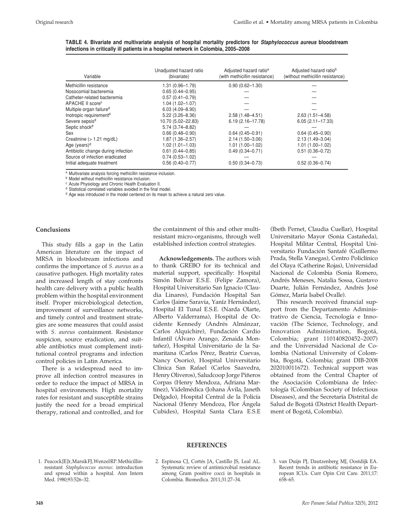|  | TABLE 4. Bivariate and multivariate analysis of hospital mortality predictors for Staphylococcus aureus bloodstream |  |
|--|---------------------------------------------------------------------------------------------------------------------|--|
|  | infections in critically ill patients in a hospital network in Colombia, 2005–2008                                  |  |

| Variable                            | Unadjusted hazard ratio<br>(bivariate) | Adjusted hazard ratio <sup>a</sup><br>(with methicillin resistance) | Adjusted hazard ratiob<br>(without methicillin resistance) |
|-------------------------------------|----------------------------------------|---------------------------------------------------------------------|------------------------------------------------------------|
| Methicillin resistance              | 1.31 (0.96-1.79)                       | $0.90(0.62 - 1.30)$                                                 |                                                            |
| Nosocomial bacteremia               | $0.65(0.44 - 0.95)$                    |                                                                     |                                                            |
| Catheter-related bacteremia         | $0.57(0.41 - 0.79)$                    |                                                                     |                                                            |
| APACHE II score <sup>c</sup>        | $1.04(1.02 - 1.07)$                    |                                                                     |                                                            |
| Multiple organ failure <sup>d</sup> | $6.03(4.09 - 8.90)$                    |                                                                     |                                                            |
| Inotropic requirement <sup>d</sup>  | $5.22(3.26 - 8.36)$                    | $2.58(1.48 - 4.51)$                                                 | $2.63(1.51 - 4.58)$                                        |
| Severe sepsis <sup>d</sup>          | 10.70 (5.02-22.83)                     | $6.19(2.16 - 17.78)$                                                | $6.05(2.11 - 17.33)$                                       |
| Septic shock <sup>d</sup>           | $5.74(3.74 - 8.82)$                    |                                                                     |                                                            |
| Sex                                 | $0.66(0.48 - 0.90)$                    | $0.64(0.45 - 0.91)$                                                 | $0.64(0.45 - 0.90)$                                        |
| Creatinine $(>1.21 \text{ mg/dL})$  | $1.87(1.36 - 2.57)$                    | $2.14(1.50 - 3.06)$                                                 | $2.13(1.49 - 3.04)$                                        |
| Age (years) $d$                     | $1.02(1.01 - 1.03)$                    | $1.01(1.00 - 1.02)$                                                 | $1.01(1.00 - 1.02)$                                        |
| Antibiotic change during infection  | $0.61(0.44 - 0.85)$                    | $0.49(0.34 - 0.71)$                                                 | $0.51(0.36 - 0.72)$                                        |
| Source of infection eradicated      | $0.74(0.53 - 1.02)$                    |                                                                     |                                                            |
| Initial adequate treatment          | $0.56(0.40 - 0.77)$                    | $0.50(0.34 - 0.73)$                                                 | $0.52(0.36 - 0.74)$                                        |

<sup>a</sup> Multivariate analysis forcing methicillin resistance inclusion.<br><sup>b</sup> Model without methicillin resistance inclusion.

<sup>c</sup> Acute Physiology and Chronic Health Evaluation II. <sup>d</sup> Statistical correlated variables avoided in the final model.

<sup>d</sup> Age was introduced in the model centered on its mean to achieve a natural zero value.

## **Conclusions**

This study fills a gap in the Latin American literature on the impact of MRSA in bloodstream infections and confirms the importance of *S. aureus* as a causative pathogen. High mortality rates and increased length of stay confronts health care delivery with a public health problem within the hospital environment itself. Proper microbiological detection, improvement of surveillance networks, and timely control and treatment strategies are some measures that could assist with *S. aureus* containment. Resistance suspicion, source eradication, and suitable antibiotics must complement institutional control programs and infection control policies in Latin America.

There is a widespread need to improve all infection control measures in order to reduce the impact of MRSA in hospital environments. High mortality rates for resistant and susceptible strains justify the need for a broad empirical therapy, rational and controlled, and for

the containment of this and other multiresistant micro-organisms, through well established infection control strategies.

**Acknowledgements.** The authors wish to thank GREBO for its technical and material support, specifically: Hospital Simón Bolívar E.S.E. (Felipe Zamora), Hospital Universitario San Ignacio (Claudia Linares), Fundación Hospital San Carlos (Jaime Saravia, Yaníz Hernández), Hospital El Tunal E.S.E. (Narda Olarte, Alberto Valderrama), Hospital de Occidente Kennedy (Andrés Almánzar, Carlos Alquichire), Fundación Cardio Infantil (Álvaro Arango, Zenaida Montañez), Hospital Universitario de la Samaritana (Carlos Pérez, Beatriz Cuevas, Nancy Osorio), Hospital Universitario Clínica San Rafael (Carlos Saavedra, Henry Oliveros), Saludcoop Jorge Piñeros Corpas (Henry Mendoza, Adriana Martínez), Videlmédica (Johana Ávila, Janeth Delgado), Hospital Central de la Policía Nacional (Henry Mendoza, Flor Ángela Cubides), Hospital Santa Clara E.S.E

(Ibeth Pernet, Claudia Cuellar), Hospital Universitario Mayor (Sonia Castañeda), Hospital Militar Central, Hospital Universitario Fundación Santafé (Guillermo Prada, Stella Vanegas), Centro Policlínico del Olaya (Catherine Rojas), Universidad Nacional de Colombia (Sonia Romero, Andrés Meneses, Natalia Sossa, Gustavo Duarte, Julián Fernández, Andrés José Gómez, María Isabel Ovalle).

This research received financial support from the Departamento Administrativo de Ciencia, Tecnología e Innovación (The Science, Technology, and Innovation Administration, Bogotá, Colombia; grant 110140820452–2007) and the Universidad Nacional de Colombia (National University of Colombia, Bogotá, Colombia; grant DIB-2008 202010011672). Technical support was obtained from the Central Chapter of the Asociación Colombiana de Infectología (Colombian Society of Infectious Diseases), and the Secretaría Distrital de Salud de Bogotá (District Health Department of Bogotá, Colombia).

## **REFERENCES**

- 1. Peacock JE Jr, Marsik FJ, Wenzel RP. Methicillinresistant *Staphylococcus aureus*: introduction and spread within a hospital. Ann Intern Med. 1980;93:526–32.
- 2. Espinosa CJ, Cortés JA, Castillo JS, Leal AL. Systematic review of antimicrobial resistance among Gram positive cocci in hospitals in Colombia. Biomedica. 2011;31:27–34.
- 3. van Duijn PJ, Dautzenberg MJ, Oostdijk EA. Recent trends in antibiotic resistance in European ICUs. Curr Opin Crit Care. 2011;17: 658–65.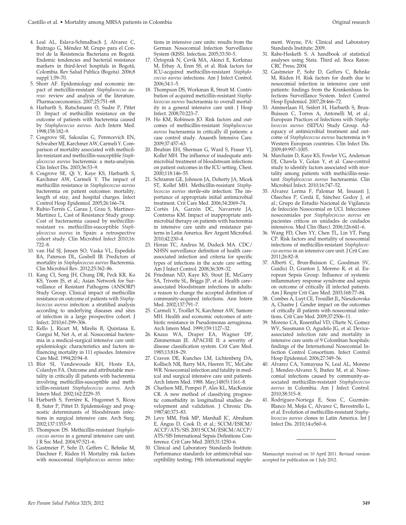- 4. Leal AL, Eslava-Schmalbach J, Alvarez C, Buitrago G, Méndez M; Grupo para el Control de la Resistencia Bacteriana en Bogotá. Endemic tendencies and bacterial resistance markers in third-level hospitals in Bogotá, Colombia. Rev Salud Publica (Bogota). 2006;8 suppl 1;59–70.
- 5. Shorr AF. Epidemiology and economic impact of meticillin-resistant *Staphylococcus aureus*: review and analysis of the literature. Pharmacoeconomics. 2007;25:751–68.
- 6. Harbarth S, Rutschmann O, Sudre P, Pittet D. Impact of methicillin resistance on the outcome of patients with bacteremia caused by *Staphylococcus aureus*. Arch Intern Med. 1998;158:182–9.
- 7. Cosgrove SE, Sakoulas G, Perencevich EN, Schwaber MJ, Karchmer AW, Carmeli Y. Comparison of mortality associated with methicillin-resistant and methicillin-susceptible *Staphylococcus aureus* bacteremia: a meta-analysis. Clin Infect Dis. 2003;36:53–9.
- 8. Cosgrove SE, Qi Y, Kaye KS, Harbarth S, Karchmer AW, Carmeli Y. The impact of methicillin resistance in *Staphylococcus aureus* bacteremia on patient outcomes: mortality, length of stay, and hospital charges. Infect Control Hosp Epidemiol. 2005;26:166–74.
- 9. Rubio-Terrés C, Garau J, Grau S, Martinez-Martinez L, Cast of Resistance Study group. Cost of bacteraemia caused by methicillinresistant vs. methicillin-susceptible *Staphylococcus aureus* in Spain: a retrospective cohort study. Clin Microbiol Infect 2010;16: 722–8.
- 10. van Hal SJ, Jensen SO, Vaska VL, Espedido BA, Paterson DL, Gosbell IB. Predictors of mortality in *Staphylococcus aureus* Bacteremia. Clin Microbiol Rev. 2012;25:362–86.
- 11. Kang CI, Song JH, Chung DR, Peck KR, Ko KS, Yeom JS, et al.; Asian Network for Surveillance of Resistant Pathogens (ANSORP) Study Group. Clinical impact of methicillin resistance on outcome of patients with *Staphylococcus aureus* infection: a stratified analysis according to underlying diseases and sites of infection in a large prospective cohort. J Infect. 2010;61:299–306.
- 12. Rello J, Ricart M, Mirelis B, Quintana E, Gurgui M, Net A, et al. Nosocomial bacteremia in a medical-surgical intensive care unit: epidemiologic characteristics and factors influencing mortality in 111 episodes. Intensive Care Med. 1994;20:94–8.
- 13. Blot SI, Vandewoude KH, Hoste EA, Colardyn FA. Outcome and attributable mortality in critically ill patients with bacteremia involving methicillin-susceptible and methicillin-resistant *Staphylococcus aureus*. Arch Intern Med. 2002;162:2229–35.
- 14. Harbarth S, Ferrière K, Hugonnet S, Ricou B, Suter P, Pittet D. Epidemiology and prognostic determinants of bloodstream infections in surgical intensive care. Arch Surg. 2002;137:1353–9.
- 15. Thompson DS. Methicillin-resistant *Staphylococcus aureus* in a general intensive care unit. J R Soc Med. 2004;97:521–6.
- 16. Gastmeier P, Sohr D, Geffers C, Behnke M, Daschner F, Rüden H. Mortality risk factors with nosocomial *Staphylococcus aureus* infec-

tions in intensive care units: results from the German Nosocomial Infection Surveillance System (KISS). Infection. 2005;33:50–5.

- 17. Oztoprak N, Cevik MA, Akinci E, Korkmaz M, Erbay A, Eren SS, et al. Risk factors for ICU-acquired methicillin-resistant *Staphylococcus aureus* infections. Am J Infect Control. 2006;34:1–5.
- 18. Thompson DS, Workman R, Strutt M. Contribution of acquired meticillin-resistant *Staphylococcus aureus* bacteraemia to overall mortality in a general intensive care unit. J Hosp Infect. 2008;70:223–7.
- 19. Ho KM, Robinson JO. Risk factors and outcomes of methicillin-resistant *Staphylococcus aureus* bacteraemia in critically ill patients: a case control study. Anaesth Intensive Care. 2009;37:457–63.
- 20. Ibrahim EH, Sherman G, Ward S, Fraser VJ, Kollef MH. The influence of inadequate antimicrobial treatment of bloodstream infections on patient outcomes in the ICU setting. Chest. 2000;118:146–55.
- 21. Schramm GE, Johnson JA, Doherty JA, Micek ST, Kollef MH. Methicillin-resistant *Staphylococcus aureus* sterile-site infection: The importance of appropriate initial antimicrobial treatment. Crit Care Med. 2006;34:2069–74.
- 22. Cortés JA, Garzón DC, Navarrete JA, Contreras KM. Impact of inappropriate antimicrobial therapy on patients with bacteremia in intensive care units and resistance patterns in Latin America. Rev Argent Microbiol. 2010;42:230–4.
- 23. Horan TC, Andrus M, Dudeck MA. CDC/ NHSN surveillance definition of health careassociated infection and criteria for specific types of infections in the acute care setting. Am J Infect Control. 2008;36:309–32.
- 24. Friedman ND, Kaye KS, Stout JE, McGarry SA, Trivette SL, Briggs JP, et al. Health care– associated bloodstream infections in adults: a reason to change the accepted definition of community-acquired infections. Ann Intern Med. 2002;137:791–7.
- 25. Carmeli Y, Troillet N, Karchmer AW, Samore MH. Health and economic outcomes of antibiotic resistance in Pseudomonas aeruginosa. Arch Intern Med. 1999;159:1127–32.
- 26. Knaus WA, Draper EA, Wagner DP, Zimmerman JE. APACHE II: a severity of disease classification system. Crit Care Med. 1985;13:818–29.
- 27. Craven DE, Kunches LM, Lichtenberg DA, Kollisch NR, Barry MA, Heeren TC, McCabe WR. Nosocomial infection and fatality in medical and surgical intensive care unit patients. Arch Intern Med. 1988. May;148(5):1161–8.
- 28. Charlson ME, Pompei P, Ales KL, MacKenzie CR. A new method of classifying prognostic comorbidity in longitudinal studies: development and validation. J Chronic Dis. 1987;40:373–83.
- 29. Levy MM, Fink MP, Marshall JC, Abraham E, Angus D, Cook D, et al.; SCCM/ESICM/ ACCP/ATS/SIS. 2001 SCCM/ESICM/ACCP/ ATS/SIS International Sepsis Definitions Conference. Crit Care Med. 2003;31:1250–6.
- 30. Clinical and Laboratory Standards Institute. Performance standards for antimicrobial susceptibility testing; 19th informational supple-

ment. Wayne, PA: Clinical and Laboratory Standards Institute; 2009.

- 31. Rabe-Hesketh S. A handbook of statistical analyses using Stata. Third ed. Boca Raton: CRC Press; 2004.
- 32. Gastmeier P, Sohr D, Geffers C, Behnke M, Rüden H. Risk factors for death due to nosocomial infection in intensive care unit patients: findings from the Krankenhaus Infections Surveillance System. Infect Control Hosp Epidemiol. 2007;28:466–72.
- 33. Ammerlaan H, Seifert H, Harbarth S, Brun-Buisson C, Torres A, Antonelli M, et al.; European Practices of Infections with *Staphylococcus aureus* (SEPIA) Study Group. Adequacy of antimicrobial treatment and outcome of *Staphylococcus aureus* bacteremia in 9 Western European countries. Clin Infect Dis. 2009;49:997–1005.
- 34. Marchaim D, Kaye KS, Fowler VG, Anderson DJ, Chawla V, Golan Y, et al. Case-control study to identify factors associated with mortality among patients with methicillin-resistant *Staphylococcus aureus* bacteraemia. Clin Microbiol Infect. 2010;16:747–52.
- 35. Alvarez Lerma F, Palomar M, Insausti J, Olaechea P, Cerdá E, Sánchez Godoy J, et al.; Grupo de Estudio Nacional de Vigilancia de Infección Nosocomial en UCI. Infecciones nosocomiales por *Staphylococcus aureus* en pacientes críticos en unidades de cuidados intensivos. Med Clin (Barc). 2006;126:641–6.
- 36. Wang FD, Chen YY, Chen TL, Lin YT, Fung CP. Risk factors and mortality of nosocomial infections of methicillin-resistant *Staphylococcus aureus* in an intensive care unit. J Crit Care. 2011;26:82–8.
- 37. Alberti C, Brun-Buisson C, Goodman SV, Guidici D, Granton J, Moreno R, et al. European Sepsis Group. Influence of systemic inflammatory response syndrome and sepsis on outcome of critically ill infected patients. Am J Respir Crit Care Med. 2003;168:77–84.
- 38. Combes A, Luyt CE, Trouillet JL, Nieszkowska A, Chastre J. Gender impact on the outcomes of critically ill patients with nosocomial infections. Crit Care Med. 2009;37:2506–11.
- 39. Moreno CA, Rosenthal VD, Olarte N, Gomez WV, Sussmann O, Agudelo JG, et al. Deviceassociated infection rate and mortality in intensive care units of 9 Colombian hospitals: findings of the International Nosocomial Infection Control Consortium. Infect Control Hosp Epidemiol. 2006;27:349–56.
- 40. Alvarez CA, Yomayusa N, Leal AL, Moreno J, Mendez-Alvarez S, Ibañez M, et al. Nosocomial infections caused by community-associated methicillin-resistant *Staphylococcus aureus* in Colombia. Am J Infect Control. 2010;38:315–8.
- 41. Rodríguez-Noriega E, Seas C, Guzmán-Blanco M, Mejía C, Alvarez C, Bavestrello L, et al. Evolution of methicillin-resistant *Staphylococcus aureus* clones in Latin America. Int J Infect Dis. 2010;14:e560–6.

Manuscript received on 10 April 2011. Revised version accepted for publication on 1 July 2012.